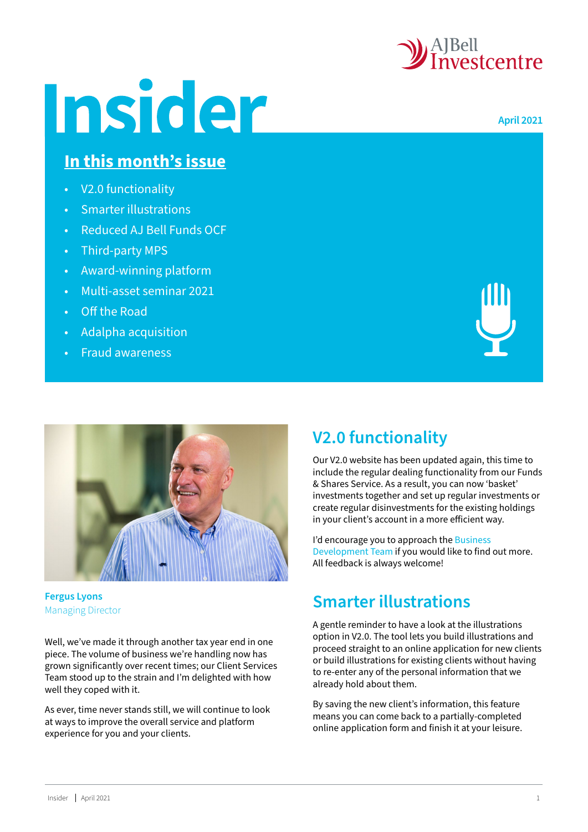

**April 2021**

# Insider

#### **In this month's issue**

- V2.0 functionality
- Smarter illustrations
- [Reduced AJ Bell Funds OCF](#page-1-0)
- [Third-party MPS](#page-1-0)
- [Award-winning platform](#page-1-0)
- [Multi-asset seminar 2021](#page-1-0)
- [Off the Road](#page-1-0)
- [Adalpha acquisition](#page-1-0)
- [Fraud awareness](#page-2-0)





**Fergus Lyons**  Managing Director

Well, we've made it through another tax year end in one piece. The volume of business we're handling now has grown significantly over recent times; our Client Services Team stood up to the strain and I'm delighted with how well they coped with it.

As ever, time never stands still, we will continue to look at ways to improve the overall service and platform experience for you and your clients.

# **V2.0 functionality**

Our V2.0 website has been updated again, this time to include the regular dealing functionality from our Funds & Shares Service. As a result, you can now 'basket' investments together and set up regular investments or create regular disinvestments for the existing holdings in your client's account in a more efficient way.

I'd encourage you to approach the Business [Development Team](https://www.investcentre.co.uk/contact-us) if you would like to find out more. All feedback is always welcome!

### **Smarter illustrations**

A gentle reminder to have a look at the illustrations option in V2.0. The tool lets you build illustrations and proceed straight to an online application for new clients or build illustrations for existing clients without having to re-enter any of the personal information that we already hold about them.

By saving the new client's information, this feature means you can come back to a partially-completed online application form and finish it at your leisure.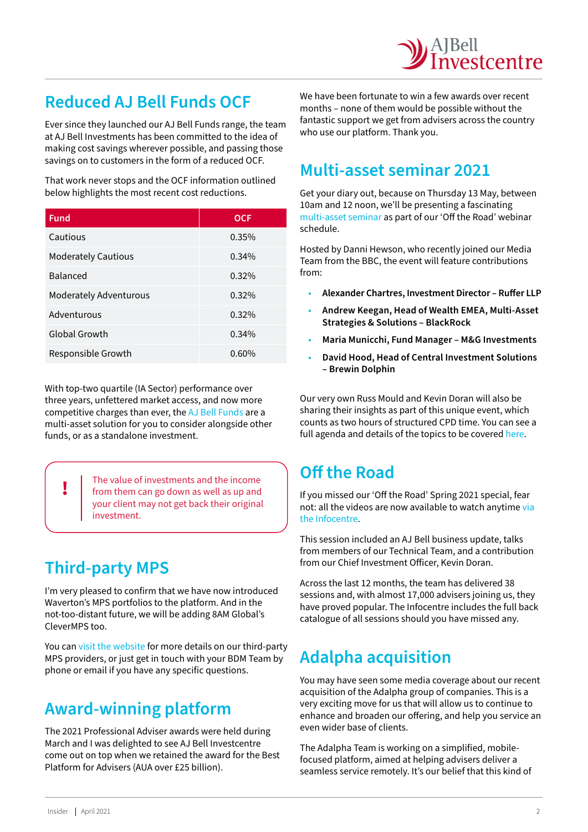### <span id="page-1-0"></span>**Reduced AJ Bell Funds OCF**

Ever since they launched our AJ Bell Funds range, the team at AJ Bell Investments has been committed to the idea of making cost savings wherever possible, and passing those savings on to customers in the form of a reduced OCF.

That work never stops and the OCF information outlined below highlights the most recent cost reductions.

| <b>Fund</b>                | <b>OCF</b> |
|----------------------------|------------|
| Cautious                   | 0.35%      |
| <b>Moderately Cautious</b> | 0.34%      |
| <b>Balanced</b>            | 0.32%      |
| Moderately Adventurous     | 0.32%      |
| Adventurous                | 0.32%      |
| Global Growth              | 0.34%      |
| Responsible Growth         | 0.60%      |

With top-two quartile (IA Sector) performance over three years, unfettered market access, and now more competitive charges than ever, the [AJ Bell Funds](https://www.investcentre.co.uk/investment-options/aj-bell-investments#funds) are a multi-asset solution for you to consider alongside other funds, or as a standalone investment.

**!** The value of investments and the income from them can go down as well as up and your client may not get back their original investment.

# **Third-party MPS**

I'm very pleased to confirm that we have now introduced Waverton's MPS portfolios to the platform. And in the not-too-distant future, we will be adding 8AM Global's CleverMPS too.

You can [visit the website](https://www.investcentre.co.uk/investment-options/third-party-mps) for more details on our third-party MPS providers, or just get in touch with your BDM Team by phone or email if you have any specific questions.

### **Award-winning platform**

The 2021 Professional Adviser awards were held during March and I was delighted to see AJ Bell Investcentre come out on top when we retained the award for the Best Platform for Advisers (AUA over £25 billion).

We have been fortunate to win a few awards over recent months – none of them would be possible without the fantastic support we get from advisers across the country who use our platform. Thank you.

#### **Multi-asset seminar 2021**

Get your diary out, because on Thursday 13 May, between 10am and 12 noon, we'll be presenting a fascinating [multi-asset seminar](https://www.investcentre.co.uk/support/events/multi-asset-seminar) as part of our 'Off the Road' webinar schedule.

Hosted by Danni Hewson, who recently joined our Media Team from the BBC, the event will feature contributions from:

- **Alexander Chartres, Investment Director Ruffer LLP**
- **Andrew Keegan, Head of Wealth EMEA, Multi-Asset Strategies & Solutions – BlackRock**
- **Maria Municchi, Fund Manager M&G Investments**
- **David Hood, Head of Central Investment Solutions – Brewin Dolphin**

Our very own Russ Mould and Kevin Doran will also be sharing their insights as part of this unique event, which counts as two hours of structured CPD time. You can see a full agenda and details of the topics to be covered [here.](https://www.investcentre.co.uk/support/events/multi-asset-seminar)

### **Off the Road**

If you missed our 'Off the Road' Spring 2021 special, fear not: all the videos are now available to watch anytime [via](https://www.investcentre.co.uk/support/infocentre)  [the Infocentre](https://www.investcentre.co.uk/support/infocentre).

This session included an AJ Bell business update, talks from members of our Technical Team, and a contribution from our Chief Investment Officer, Kevin Doran.

Across the last 12 months, the team has delivered 38 sessions and, with almost 17,000 advisers joining us, they have proved popular. The Infocentre includes the full back catalogue of all sessions should you have missed any.

### **Adalpha acquisition**

You may have seen some media coverage about our recent acquisition of the Adalpha group of companies. This is a very exciting move for us that will allow us to continue to enhance and broaden our offering, and help you service an even wider base of clients.

The Adalpha Team is working on a simplified, mobilefocused platform, aimed at helping advisers deliver a seamless service remotely. It's our belief that this kind of